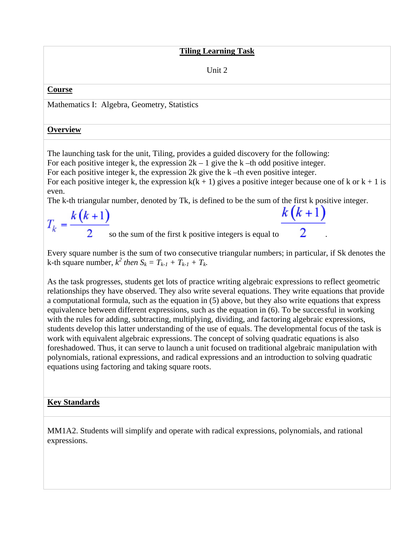#### **Tiling Learning Task**

Unit 2

#### **Course**

Mathematics I: Algebra, Geometry, Statistics

#### **Overview**

The launching task for the unit, Tiling, provides a guided discovery for the following:

For each positive integer k, the expression  $2k - 1$  give the k –th odd positive integer.

For each positive integer k, the expression 2k give the k –th even positive integer.

For each positive integer k, the expression  $k(k + 1)$  gives a positive integer because one of k or  $k + 1$  is even.

The k-th triangular number, denoted by Tk, is defined to be the sum of the first k positive integer.

 $k(k+1)$  $T_k = \frac{k(k+1)}{2}$  so the sum of the first k positive integers is equal to

Every square number is the sum of two consecutive triangular numbers; in particular, if Sk denotes the *k*-th square number,  $k^2$  then  $S_k = T_{k-1} + T_{k-1} + T_k$ .

As the task progresses, students get lots of practice writing algebraic expressions to reflect geometric relationships they have observed. They also write several equations. They write equations that provide a computational formula, such as the equation in (5) above, but they also write equations that express equivalence between different expressions, such as the equation in (6). To be successful in working with the rules for adding, subtracting, multiplying, dividing, and factoring algebraic expressions, students develop this latter understanding of the use of equals. The developmental focus of the task is work with equivalent algebraic expressions. The concept of solving quadratic equations is also foreshadowed. Thus, it can serve to launch a unit focused on traditional algebraic manipulation with polynomials, rational expressions, and radical expressions and an introduction to solving quadratic equations using factoring and taking square roots.

## **Key Standards**

MM1A2. Students will simplify and operate with radical expressions, polynomials, and rational expressions.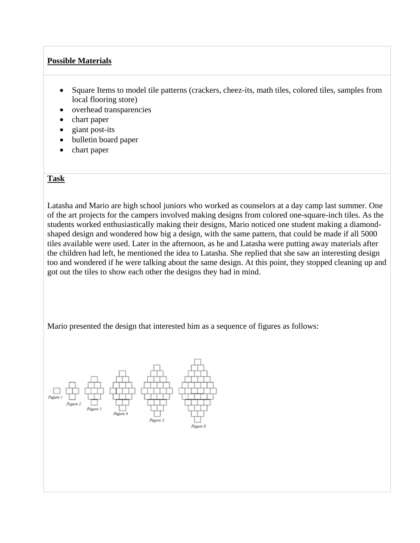## **Possible Materials**

- Square Items to model tile patterns (crackers, cheez-its, math tiles, colored tiles, samples from local flooring store)
- overhead transparencies
- chart paper
- giant post-its
- bulletin board paper
- chart paper

#### **Task**

Latasha and Mario are high school juniors who worked as counselors at a day camp last summer. One of the art projects for the campers involved making designs from colored one-square-inch tiles. As the students worked enthusiastically making their designs, Mario noticed one student making a diamondshaped design and wondered how big a design, with the same pattern, that could be made if all 5000 tiles available were used. Later in the afternoon, as he and Latasha were putting away materials after the children had left, he mentioned the idea to Latasha. She replied that she saw an interesting design too and wondered if he were talking about the same design. At this point, they stopped cleaning up and got out the tiles to show each other the designs they had in mind.

Mario presented the design that interested him as a sequence of figures as follows:

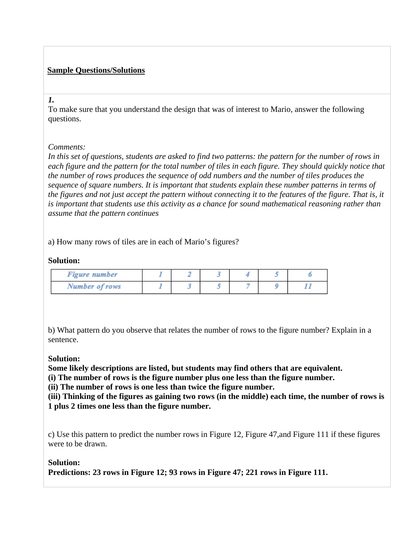# **Sample Questions/Solutions**

#### *1.*

To make sure that you understand the design that was of interest to Mario, answer the following questions.

## *Comments:*

*In this set of questions, students are asked to find two patterns: the pattern for the number of rows in each figure and the pattern for the total number of tiles in each figure. They should quickly notice that the number of rows produces the sequence of odd numbers and the number of tiles produces the sequence of square numbers. It is important that students explain these number patterns in terms of the figures and not just accept the pattern without connecting it to the features of the figure. That is, it is important that students use this activity as a chance for sound mathematical reasoning rather than assume that the pattern continues* 

a) How many rows of tiles are in each of Mario's figures?

# **Solution:**

| <b>Figure number</b>  |  |  |  |
|-----------------------|--|--|--|
| <b>Number of rows</b> |  |  |  |

b) What pattern do you observe that relates the number of rows to the figure number? Explain in a sentence.

## **Solution:**

**Some likely descriptions are listed, but students may find others that are equivalent.** 

**(i) The number of rows is the figure number plus one less than the figure number.** 

**(ii) The number of rows is one less than twice the figure number.** 

**(iii) Thinking of the figures as gaining two rows (in the middle) each time, the number of rows is 1 plus 2 times one less than the figure number.**

c) Use this pattern to predict the number rows in Figure 12, Figure 47,and Figure 111 if these figures were to be drawn.

# **Solution:**

**Predictions: 23 rows in Figure 12; 93 rows in Figure 47; 221 rows in Figure 111.**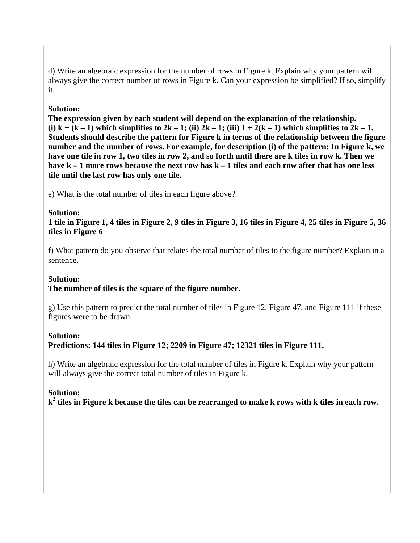d) Write an algebraic expression for the number of rows in Figure k. Explain why your pattern will always give the correct number of rows in Figure k. Can your expression be simplified? If so, simplify it.

#### **Solution:**

**The expression given by each student will depend on the explanation of the relationship.**  (i)  $k + (k - 1)$  which simplifies to  $2k - 1$ ; (ii)  $2k - 1$ ; (iii)  $1 + 2(k - 1)$  which simplifies to  $2k - 1$ . **Students should describe the pattern for Figure k in terms of the relationship between the figure number and the number of rows. For example, for description (i) of the pattern: In Figure k, we have one tile in row 1, two tiles in row 2, and so forth until there are k tiles in row k. Then we have k – 1 more rows because the next row has k – 1 tiles and each row after that has one less tile until the last row has only one tile.**

e) What is the total number of tiles in each figure above?

#### **Solution:**

**1 tile in Figure 1, 4 tiles in Figure 2, 9 tiles in Figure 3, 16 tiles in Figure 4, 25 tiles in Figure 5, 36 tiles in Figure 6**

f) What pattern do you observe that relates the total number of tiles to the figure number? Explain in a sentence.

#### **Solution:**

## **The number of tiles is the square of the figure number.**

g) Use this pattern to predict the total number of tiles in Figure 12, Figure 47, and Figure 111 if these figures were to be drawn.

#### **Solution:**

**Predictions: 144 tiles in Figure 12; 2209 in Figure 47; 12321 tiles in Figure 111.**

h) Write an algebraic expression for the total number of tiles in Figure k. Explain why your pattern will always give the correct total number of tiles in Figure k.

## **Solution:**

**k2 tiles in Figure k because the tiles can be rearranged to make k rows with k tiles in each row.**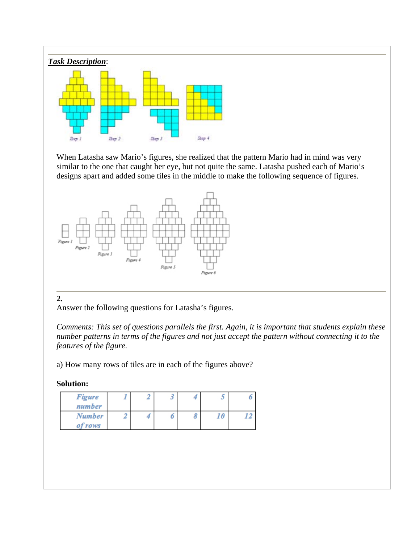

When Latasha saw Mario's figures, she realized that the pattern Mario had in mind was very similar to the one that caught her eye, but not quite the same. Latasha pushed each of Mario's designs apart and added some tiles in the middle to make the following sequence of figures.



## **2.**

Answer the following questions for Latasha's figures.

*Comments: This set of questions parallels the first. Again, it is important that students explain these number patterns in terms of the figures and not just accept the pattern without connecting it to the features of the figure.*

a) How many rows of tiles are in each of the figures above?

## **Solution:**

| <b>Figure</b><br>number  | 2 | J |   | J  |  |
|--------------------------|---|---|---|----|--|
| <b>Number</b><br>of rows |   | 0 | 8 | 10 |  |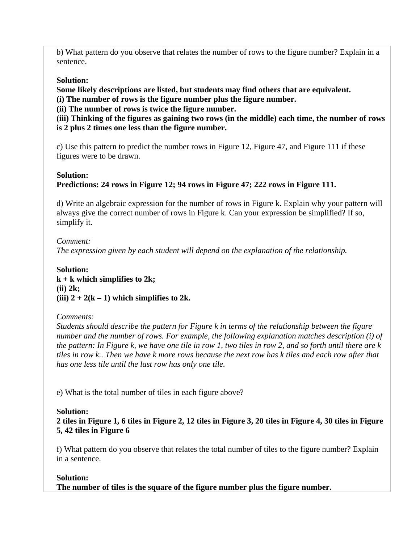b) What pattern do you observe that relates the number of rows to the figure number? Explain in a sentence.

#### **Solution:**

**Some likely descriptions are listed, but students may find others that are equivalent. (i) The number of rows is the figure number plus the figure number.** 

**(ii) The number of rows is twice the figure number.** 

**(iii) Thinking of the figures as gaining two rows (in the middle) each time, the number of rows is 2 plus 2 times one less than the figure number.**

c) Use this pattern to predict the number rows in Figure 12, Figure 47, and Figure 111 if these figures were to be drawn.

#### **Solution:**

# **Predictions: 24 rows in Figure 12; 94 rows in Figure 47; 222 rows in Figure 111.**

d) Write an algebraic expression for the number of rows in Figure k. Explain why your pattern will always give the correct number of rows in Figure k. Can your expression be simplified? If so, simplify it.

*Comment: The expression given by each student will depend on the explanation of the relationship.*

**Solution: k + k which simplifies to 2k; (ii) 2k;**  (iii)  $2 + 2(k - 1)$  which simplifies to 2k.

#### *Comments:*

*Students should describe the pattern for Figure k in terms of the relationship between the figure number and the number of rows. For example, the following explanation matches description (i) of the pattern: In Figure k, we have one tile in row 1, two tiles in row 2, and so forth until there are k tiles in row k.. Then we have k more rows because the next row has k tiles and each row after that has one less tile until the last row has only one tile.* 

e) What is the total number of tiles in each figure above?

## **Solution:**

**2 tiles in Figure 1, 6 tiles in Figure 2, 12 tiles in Figure 3, 20 tiles in Figure 4, 30 tiles in Figure 5, 42 tiles in Figure 6**

f) What pattern do you observe that relates the total number of tiles to the figure number? Explain in a sentence.

#### **Solution:**

**The number of tiles is the square of the figure number plus the figure number.**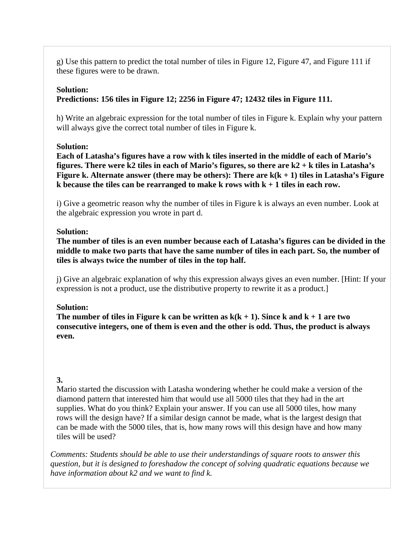g) Use this pattern to predict the total number of tiles in Figure 12, Figure 47, and Figure 111 if these figures were to be drawn.

#### **Solution:**

### **Predictions: 156 tiles in Figure 12; 2256 in Figure 47; 12432 tiles in Figure 111.**

h) Write an algebraic expression for the total number of tiles in Figure k. Explain why your pattern will always give the correct total number of tiles in Figure k.

#### **Solution:**

**Each of Latasha's figures have a row with k tiles inserted in the middle of each of Mario's figures. There were k2 tiles in each of Mario's figures, so there are k2 + k tiles in Latasha's Figure k. Alternate answer (there may be others): There are k(k + 1) tiles in Latasha's Figure k because the tiles can be rearranged to make k rows with k + 1 tiles in each row.**

i) Give a geometric reason why the number of tiles in Figure k is always an even number. Look at the algebraic expression you wrote in part d.

#### **Solution:**

**The number of tiles is an even number because each of Latasha's figures can be divided in the middle to make two parts that have the same number of tiles in each part. So, the number of tiles is always twice the number of tiles in the top half.**

j) Give an algebraic explanation of why this expression always gives an even number. [Hint: If your expression is not a product, use the distributive property to rewrite it as a product.]

#### **Solution:**

The number of tiles in Figure k can be written as  $k(k + 1)$ . Since k and  $k + 1$  are two **consecutive integers, one of them is even and the other is odd. Thus, the product is always even.** 

## **3.**

Mario started the discussion with Latasha wondering whether he could make a version of the diamond pattern that interested him that would use all 5000 tiles that they had in the art supplies. What do you think? Explain your answer. If you can use all 5000 tiles, how many rows will the design have? If a similar design cannot be made, what is the largest design that can be made with the 5000 tiles, that is, how many rows will this design have and how many tiles will be used?

*Comments: Students should be able to use their understandings of square roots to answer this question, but it is designed to foreshadow the concept of solving quadratic equations because we have information about k2 and we want to find k.*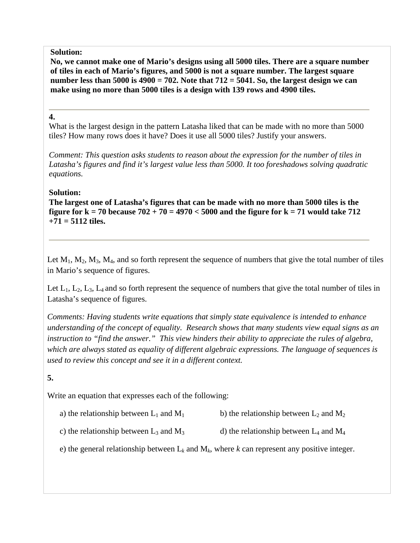#### **Solution:**

**No, we cannot make one of Mario's designs using all 5000 tiles. There are a square number of tiles in each of Mario's figures, and 5000 is not a square number. The largest square number less than 5000 is 4900 = 702. Note that 712 = 5041. So, the largest design we can make using no more than 5000 tiles is a design with 139 rows and 4900 tiles.**

#### **4.**

What is the largest design in the pattern Latasha liked that can be made with no more than 5000 tiles? How many rows does it have? Does it use all 5000 tiles? Justify your answers.

*Comment: This question asks students to reason about the expression for the number of tiles in Latasha's figures and find it's largest value less than 5000. It too foreshadows solving quadratic equations.*

#### **Solution:**

**The largest one of Latasha's figures that can be made with no more than 5000 tiles is the figure for k = 70 because 702 + 70 = 4970 < 5000 and the figure for k = 71 would take 712 +71 = 5112 tiles.**

Let  $M_1$ ,  $M_2$ ,  $M_3$ ,  $M_4$ , and so forth represent the sequence of numbers that give the total number of tiles in Mario's sequence of figures.

Let  $L_1, L_2, L_3, L_4$  and so forth represent the sequence of numbers that give the total number of tiles in Latasha's sequence of figures.

*Comments: Having students write equations that simply state equivalence is intended to enhance understanding of the concept of equality. Research shows that many students view equal signs as an instruction to "find the answer." This view hinders their ability to appreciate the rules of algebra, which are always stated as equality of different algebraic expressions. The language of sequences is used to review this concept and see it in a different context.* 

## **5.**

Write an equation that expresses each of the following:

- a) the relationship between  $L_1$  and  $M_1$  b) the relationship between  $L_2$  and  $M_2$
- c) the relationship between  $L_3$  and  $M_3$  d) the relationship between  $L_4$  and  $M_4$
- e) the general relationship between  $L_k$  and  $M_k$ , where  $k$  can represent any positive integer.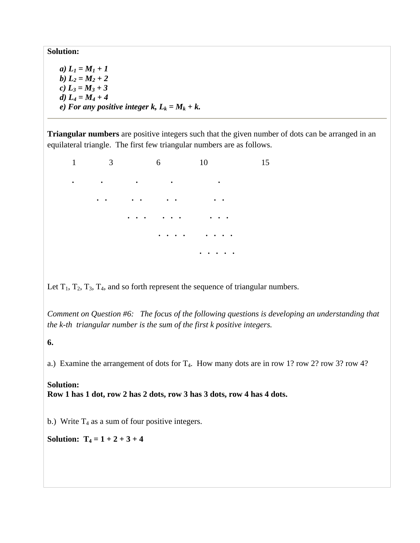**Solution:** 

*a*)  $L_1 = M_1 + 1$ *b*)  $L_2 = M_2 + 2$ *c) L3 = M3 + 3 d)*  $L_4 = M_4 + 4$ *e)* For any positive integer k,  $L_k = M_k + k$ .

**Triangular numbers** are positive integers such that the given number of dots can be arranged in an equilateral triangle. The first few triangular numbers are as follows.

1 3 6 10 15 **. . . . . . . . . . . . . . . . . . . . . . . . . . . . . . . . . . .** 

Let  $T_1$ ,  $T_2$ ,  $T_3$ ,  $T_4$ , and so forth represent the sequence of triangular numbers.

*Comment on Question #6: The focus of the following questions is developing an understanding that the k-th triangular number is the sum of the first k positive integers.* 

**6.** 

a.) Examine the arrangement of dots for  $T_4$ . How many dots are in row 1? row 2? row 3? row 4?

**Solution: Row 1 has 1 dot, row 2 has 2 dots, row 3 has 3 dots, row 4 has 4 dots.** 

b.) Write  $T_4$  as a sum of four positive integers.

**Solution:**  $T_4 = 1 + 2 + 3 + 4$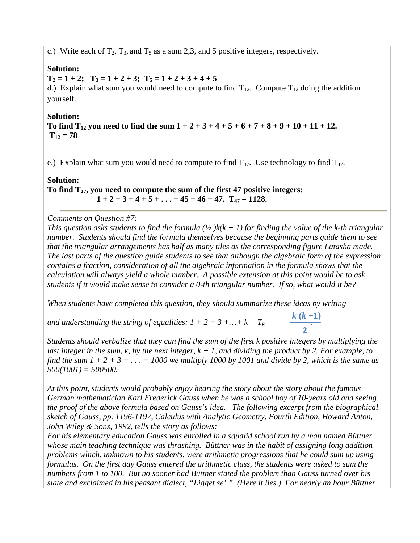c.) Write each of  $T_2$ ,  $T_3$ , and  $T_5$  as a sum 2,3, and 5 positive integers, respectively.

#### **Solution:**

 $T_2 = 1 + 2$ ;  $T_3 = 1 + 2 + 3$ ;  $T_5 = 1 + 2 + 3 + 4 + 5$ d.) Explain what sum you would need to compute to find  $T_{12}$ . Compute  $T_{12}$  doing the addition yourself.

#### **Solution:**

To find  $T_{12}$  you need to find the sum  $1 + 2 + 3 + 4 + 5 + 6 + 7 + 8 + 9 + 10 + 11 + 12$ .  $T_{12} = 78$ 

e.) Explain what sum you would need to compute to find  $T_{47}$ . Use technology to find  $T_{47}$ .

#### **Solution:**

**To find T47, you need to compute the sum of the first 47 positive integers:**   $1 + 2 + 3 + 4 + 5 + \ldots + 45 + 46 + 47$ .  $T_{47} = 1128$ .

#### *Comments on Question #7:*

*This question asks students to find the formula*  $\frac{1}{2}$   $k(k + 1)$  *for finding the value of the k-th triangular number. Students should find the formula themselves because the beginning parts guide them to see that the triangular arrangements has half as many tiles as the corresponding figure Latasha made. The last parts of the question guide students to see that although the algebraic form of the expression contains a fraction, consideration of all the algebraic information in the formula shows that the calculation will always yield a whole number. A possible extension at this point would be to ask students if it would make sense to consider a 0-th triangular number. If so, what would it be?* 

*When students have completed this question, they should summarize these ideas by writing* 

*and understanding the string of equalities:*  $1 + 2 + 3 + ... + k = T_k =$ *k* **(***k* **+1) 2**

*Students should verbalize that they can find the sum of the first k positive integers by multiplying the last integer in the sum, k, by the next integer,*  $k + 1$ *, and dividing the product by 2. For example, to find the sum*  $1 + 2 + 3 + ... + 1000$  *we multiply 1000 by 1001 and divide by 2, which is the same as 500(1001) = 500500.* 

*At this point, students would probably enjoy hearing the story about the story about the famous German mathematician Karl Frederick Gauss when he was a school boy of 10-years old and seeing the proof of the above formula based on Gauss's idea. The following excerpt from the biographical sketch of Gauss, pp. 1196-1197, Calculus with Analytic Geometry, Fourth Edition, Howard Anton, John Wiley & Sons, 1992, tells the story as follows:* 

*For his elementary education Gauss was enrolled in a squalid school run by a man named Büttner whose main teaching technique was thrashing. Büttner was in the habit of assigning long addition problems which, unknown to his students, were arithmetic progressions that he could sum up using formulas. On the first day Gauss entered the arithmetic class, the students were asked to sum the numbers from 1 to 100. But no sooner had Büttner stated the problem than Gauss turned over his slate and exclaimed in his peasant dialect, "Ligget se'." (Here it lies.) For nearly an hour Büttner*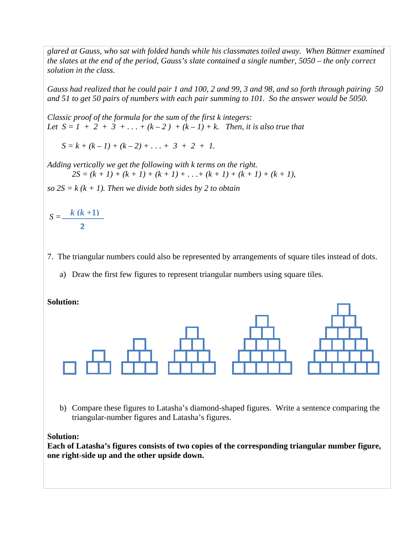*glared at Gauss, who sat with folded hands while his classmates toiled away. When Büttner examined the slates at the end of the period, Gauss's slate contained a single number, 5050 – the only correct solution in the class.* 

*Gauss had realized that he could pair 1 and 100, 2 and 99, 3 and 98, and so forth through pairing 50 and 51 to get 50 pairs of numbers with each pair summing to 101. So the answer would be 5050.* 

*Classic proof of the formula for the sum of the first k integers: Let*  $S = 1 + 2 + 3 + ... + (k-2) + (k-1) + k$ . *Then, it is also true that* 

 $S = k + (k - 1) + (k - 2) + \ldots + 3 + 2 + 1$ .

*Adding vertically we get the following with k terms on the right.*   $2S = (k + 1) + (k + 1) + (k + 1) + \ldots + (k + 1) + (k + 1) + (k + 1)$ ,

 $so 2S = k (k + 1)$ . Then we divide both sides by 2 to obtain

$$
S=\frac{k(k+1)}{2}
$$

- 7. The triangular numbers could also be represented by arrangements of square tiles instead of dots.
	- a) Draw the first few figures to represent triangular numbers using square tiles.

#### **Solution:**



b) Compare these figures to Latasha's diamond-shaped figures. Write a sentence comparing the triangular-number figures and Latasha's figures.

#### **Solution:**

**Each of Latasha's figures consists of two copies of the corresponding triangular number figure, one right-side up and the other upside down.**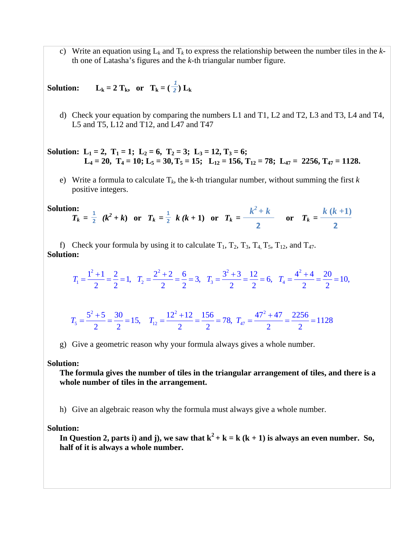c) Write an equation using  $L_k$  and  $T_k$  to express the relationship between the number tiles in the  $k$ th one of Latasha's figures and the *k*-th triangular number figure.

**Solution:**  $L_k = 2 T_k$ , or  $T_k = (\frac{1}{2}) L_k$ *2*

d) Check your equation by comparing the numbers L1 and T1, L2 and T2, L3 and T3, L4 and T4, L5 and T5, L12 and T12, and L47 and T47

**Solution:** L<sub>1</sub> = 2, T<sub>1</sub> = 1; L<sub>2</sub> = 6, T<sub>2</sub> = 3; L<sub>3</sub> = 12, T<sub>3</sub> = 6;  $L_4 = 20$ ,  $T_4 = 10$ ;  $L_5 = 30$ ,  $T_5 = 15$ ;  $L_{12} = 156$ ,  $T_{12} = 78$ ;  $L_{47} = 2256$ ,  $T_{47} = 1128$ .

e) Write a formula to calculate T*k*, the k-th triangular number, without summing the first *k* positive integers.

Solution: 
$$
T_k = \frac{1}{2} (k^2 + k)
$$
 or  $T_k = \frac{1}{2} k (k + 1)$  or  $T_k = \frac{k^2 + k}{2}$  or  $T_k = \frac{k (k + 1)}{2}$ 

f) Check your formula by using it to calculate  $T_1$ ,  $T_2$ ,  $T_3$ ,  $T_4$ ,  $T_5$ ,  $T_{12}$ , and  $T_{47}$ . **Solution:** 

$$
T_1 = \frac{1^2 + 1}{2} = \frac{2}{2} = 1, \quad T_2 = \frac{2^2 + 2}{2} = \frac{6}{2} = 3, \quad T_3 = \frac{3^2 + 3}{2} = \frac{12}{2} = 6, \quad T_4 = \frac{4^2 + 4}{2} = \frac{20}{2} = 10,
$$

$$
T_5 = \frac{5^2 + 5}{2} = \frac{30}{2} = 15, \quad T_{12} = \frac{12^2 + 12}{2} = \frac{156}{2} = 78, \quad T_{47} = \frac{47^2 + 47}{2} = \frac{2256}{2} = 1128
$$

g) Give a geometric reason why your formula always gives a whole number.

#### **Solution:**

**The formula gives the number of tiles in the triangular arrangement of tiles, and there is a whole number of tiles in the arrangement.** 

h) Give an algebraic reason why the formula must always give a whole number.

**Solution:** 

In Question 2, parts i) and j), we saw that  $k^2 + k = k (k + 1)$  is always an even number. So, **half of it is always a whole number.**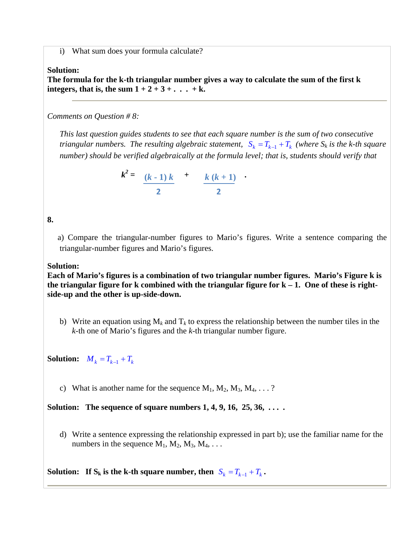i) What sum does your formula calculate?

#### **Solution:**

**The formula for the k-th triangular number gives a way to calculate the sum of the first k**  integers, that is, the sum  $1 + 2 + 3 + \ldots + k$ .

*Comments on Question # 8:* 

*This last question guides students to see that each square number is the sum of two consecutive triangular numbers. The resulting algebraic statement,*  $S_k = T_{k-1} + T_k$  (where  $S_k$  is the k-th square *number) should be verified algebraically at the formula level; that is, students should verify that* 

$$
k^2 = \frac{(k-1)k}{2} + \frac{k(k+1)}{2}
$$

**8.** 

 a) Compare the triangular-number figures to Mario's figures. Write a sentence comparing the triangular-number figures and Mario's figures.

#### **Solution:**

**Each of Mario's figures is a combination of two triangular number figures. Mario's Figure k is the triangular figure for k combined with the triangular figure for k – 1. One of these is rightside-up and the other is up-side-down.** 

b) Write an equation using  $M_k$  and  $T_k$  to express the relationship between the number tiles in the *k*-th one of Mario's figures and the *k*-th triangular number figure.

**Solution:**  $M_k = T_{k-1} + T_k$ 

c) What is another name for the sequence  $M_1, M_2, M_3, M_4, \ldots$  ?

**Solution: The sequence of square numbers 1, 4, 9, 16, 25, 36, . . . .** 

d) Write a sentence expressing the relationship expressed in part b); use the familiar name for the numbers in the sequence  $M_1, M_2, M_3, M_4, \ldots$ 

**Solution:** If  $S_k$  is the k-th square number, then  $S_k = T_{k-1} + T_k$ .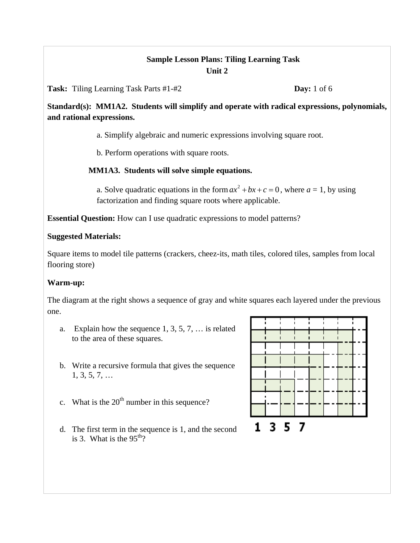# **Sample Lesson Plans: Tiling Learning Task Unit 2**

**Task:** Tiling Learning Task Parts #1-#2 **Day:** 1 of 6

**Standard(s): MM1A2. Students will simplify and operate with radical expressions, polynomials, and rational expressions.** 

a. Simplify algebraic and numeric expressions involving square root.

b. Perform operations with square roots.

# **MM1A3. Students will solve simple equations.**

a. Solve quadratic equations in the form  $ax^2 + bx + c = 0$ , where  $a = 1$ , by using factorization and finding square roots where applicable.

**Essential Question:** How can I use quadratic expressions to model patterns?

## **Suggested Materials:**

Square items to model tile patterns (crackers, cheez-its, math tiles, colored tiles, samples from local flooring store)

# **Warm-up:**

The diagram at the right shows a sequence of gray and white squares each layered under the previous one.

- a. Explain how the sequence 1, 3, 5, 7, … is related to the area of these squares.
- b. Write a recursive formula that gives the sequence 1, 3, 5, 7, …
- c. What is the  $20<sup>th</sup>$  number in this sequence?
- d. The first term in the sequence is 1, and the second is 3. What is the  $95<sup>th</sup>$ ?

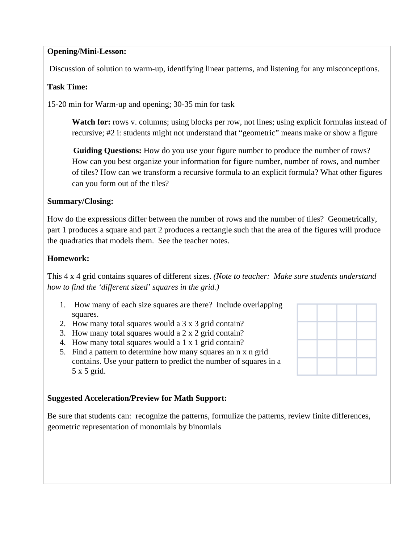### **Opening/Mini-Lesson:**

Discussion of solution to warm-up, identifying linear patterns, and listening for any misconceptions.

#### **Task Time:**

15-20 min for Warm-up and opening; 30-35 min for task

**Watch for:** rows v. columns; using blocks per row, not lines; using explicit formulas instead of recursive; #2 i: students might not understand that "geometric" means make or show a figure

**Guiding Questions:** How do you use your figure number to produce the number of rows? How can you best organize your information for figure number, number of rows, and number of tiles? How can we transform a recursive formula to an explicit formula? What other figures can you form out of the tiles?

#### **Summary/Closing:**

How do the expressions differ between the number of rows and the number of tiles? Geometrically, part 1 produces a square and part 2 produces a rectangle such that the area of the figures will produce the quadratics that models them. See the teacher notes.

#### **Homework:**

This 4 x 4 grid contains squares of different sizes. *(Note to teacher: Make sure students understand how to find the 'different sized' squares in the grid.)*

- 1. How many of each size squares are there? Include overlapping squares.
- 2. How many total squares would a 3 x 3 grid contain?
- 3. How many total squares would a 2 x 2 grid contain?
- 4. How many total squares would a 1 x 1 grid contain?
- 5. Find a pattern to determine how many squares an n x n grid contains. Use your pattern to predict the number of squares in a 5 x 5 grid.

#### **Suggested Acceleration/Preview for Math Support:**

Be sure that students can: recognize the patterns, formulize the patterns, review finite differences, geometric representation of monomials by binomials

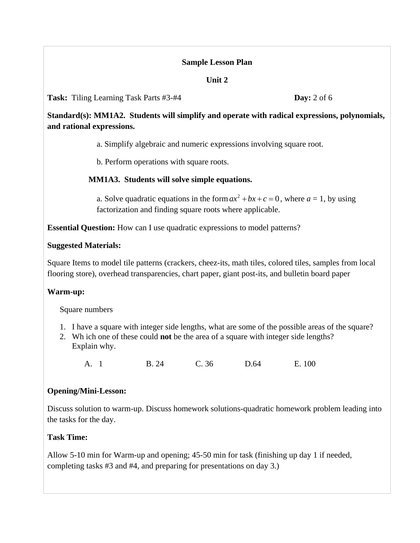## **Sample Lesson Plan**

## **Unit 2**

**Task:** Tiling Learning Task Parts #3-#4 **Day:** 2 of 6

**Standard(s): MM1A2. Students will simplify and operate with radical expressions, polynomials, and rational expressions.** 

a. Simplify algebraic and numeric expressions involving square root.

b. Perform operations with square roots.

# **MM1A3. Students will solve simple equations.**

a. Solve quadratic equations in the form  $ax^2 + bx + c = 0$ , where  $a = 1$ , by using factorization and finding square roots where applicable.

**Essential Question:** How can I use quadratic expressions to model patterns?

# **Suggested Materials:**

Square Items to model tile patterns (crackers, cheez-its, math tiles, colored tiles, samples from local flooring store), overhead transparencies, chart paper, giant post-its, and bulletin board paper

# **Warm-up:**

Square numbers

- 1. I have a square with integer side lengths, what are some of the possible areas of the square?
- 2. Wh ich one of these could **not** be the area of a square with integer side lengths? Explain why.

A. 1 B. 24 C. 36 D.64 E. 100

# **Opening/Mini-Lesson:**

Discuss solution to warm-up. Discuss homework solutions-quadratic homework problem leading into the tasks for the day.

# **Task Time:**

Allow 5-10 min for Warm-up and opening; 45-50 min for task (finishing up day 1 if needed, completing tasks #3 and #4, and preparing for presentations on day 3.)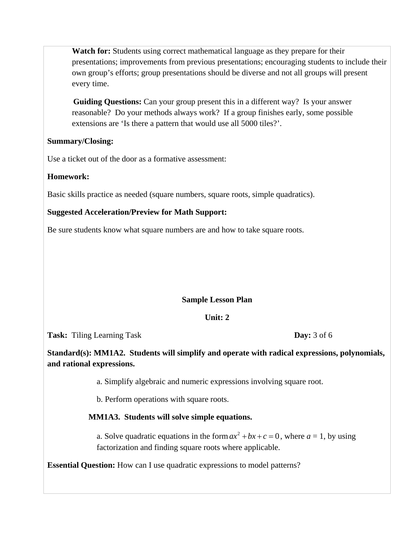**Watch for:** Students using correct mathematical language as they prepare for their presentations; improvements from previous presentations; encouraging students to include their own group's efforts; group presentations should be diverse and not all groups will present every time.

**Guiding Questions:** Can your group present this in a different way? Is your answer reasonable? Do your methods always work? If a group finishes early, some possible extensions are 'Is there a pattern that would use all 5000 tiles?'.

#### **Summary/Closing:**

Use a ticket out of the door as a formative assessment:

## **Homework:**

Basic skills practice as needed (square numbers, square roots, simple quadratics).

## **Suggested Acceleration/Preview for Math Support:**

Be sure students know what square numbers are and how to take square roots.

## **Sample Lesson Plan**

## **Unit: 2**

**Task:** Tiling Learning Task **Day:** 3 of 6

**Standard(s): MM1A2. Students will simplify and operate with radical expressions, polynomials, and rational expressions.** 

a. Simplify algebraic and numeric expressions involving square root.

b. Perform operations with square roots.

## **MM1A3. Students will solve simple equations.**

a. Solve quadratic equations in the form  $ax^2 + bx + c = 0$ , where  $a = 1$ , by using factorization and finding square roots where applicable.

**Essential Question:** How can I use quadratic expressions to model patterns?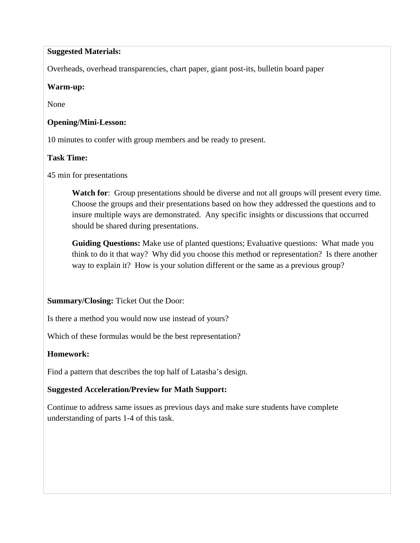#### **Suggested Materials:**

Overheads, overhead transparencies, chart paper, giant post-its, bulletin board paper

#### **Warm-up:**

None

### **Opening/Mini-Lesson:**

10 minutes to confer with group members and be ready to present.

#### **Task Time:**

45 min for presentations

Watch for: Group presentations should be diverse and not all groups will present every time. Choose the groups and their presentations based on how they addressed the questions and to insure multiple ways are demonstrated. Any specific insights or discussions that occurred should be shared during presentations.

**Guiding Questions:** Make use of planted questions; Evaluative questions: What made you think to do it that way? Why did you choose this method or representation? Is there another way to explain it? How is your solution different or the same as a previous group?

## **Summary/Closing:** Ticket Out the Door:

Is there a method you would now use instead of yours?

Which of these formulas would be the best representation?

## **Homework:**

Find a pattern that describes the top half of Latasha's design.

## **Suggested Acceleration/Preview for Math Support:**

Continue to address same issues as previous days and make sure students have complete understanding of parts 1-4 of this task.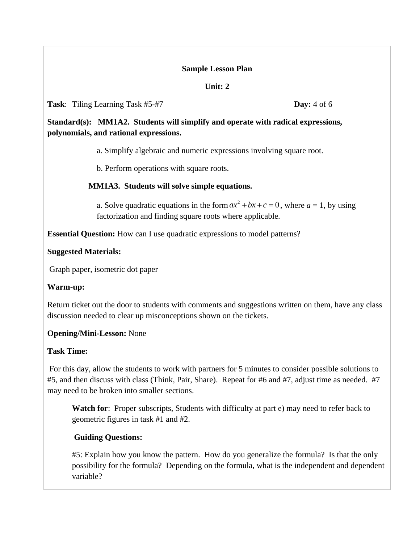#### **Sample Lesson Plan**

#### **Unit: 2**

#### **Task**: Tiling Learning Task #5-#7 **Day:** 4 of 6

**Standard(s): MM1A2. Students will simplify and operate with radical expressions, polynomials, and rational expressions.** 

a. Simplify algebraic and numeric expressions involving square root.

b. Perform operations with square roots.

## **MM1A3. Students will solve simple equations.**

a. Solve quadratic equations in the form  $ax^2 + bx + c = 0$ , where  $a = 1$ , by using factorization and finding square roots where applicable.

**Essential Question:** How can I use quadratic expressions to model patterns?

#### **Suggested Materials:**

Graph paper, isometric dot paper

#### **Warm-up:**

Return ticket out the door to students with comments and suggestions written on them, have any class discussion needed to clear up misconceptions shown on the tickets.

#### **Opening/Mini-Lesson:** None

## **Task Time:**

 For this day, allow the students to work with partners for 5 minutes to consider possible solutions to #5, and then discuss with class (Think, Pair, Share). Repeat for #6 and #7, adjust time as needed. #7 may need to be broken into smaller sections.

**Watch for**: Proper subscripts, Students with difficulty at part e) may need to refer back to geometric figures in task #1 and #2.

## **Guiding Questions:**

#5: Explain how you know the pattern. How do you generalize the formula? Is that the only possibility for the formula? Depending on the formula, what is the independent and dependent variable?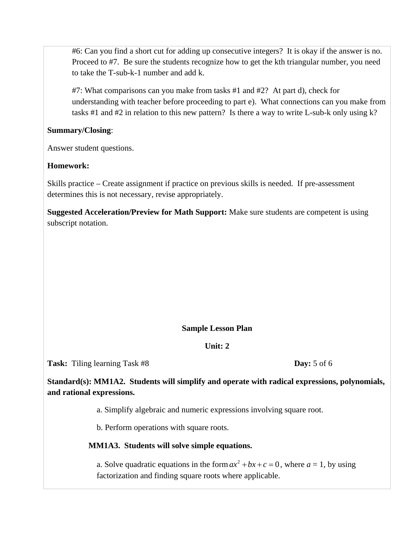#6: Can you find a short cut for adding up consecutive integers? It is okay if the answer is no. Proceed to #7. Be sure the students recognize how to get the kth triangular number, you need to take the T-sub-k-1 number and add k.

#7: What comparisons can you make from tasks #1 and #2? At part d), check for understanding with teacher before proceeding to part e). What connections can you make from tasks #1 and #2 in relation to this new pattern? Is there a way to write L-sub-k only using k?

#### **Summary/Closing**:

Answer student questions.

## **Homework:**

Skills practice – Create assignment if practice on previous skills is needed. If pre-assessment determines this is not necessary, revise appropriately.

**Suggested Acceleration/Preview for Math Support:** Make sure students are competent is using subscript notation.

# **Sample Lesson Plan**

## **Unit: 2**

**Task:** Tiling learning Task #8 **Day:** 5 of 6

**Standard(s): MM1A2. Students will simplify and operate with radical expressions, polynomials, and rational expressions.** 

a. Simplify algebraic and numeric expressions involving square root.

b. Perform operations with square roots.

# **MM1A3. Students will solve simple equations.**

a. Solve quadratic equations in the form  $ax^2 + bx + c = 0$ , where  $a = 1$ , by using factorization and finding square roots where applicable.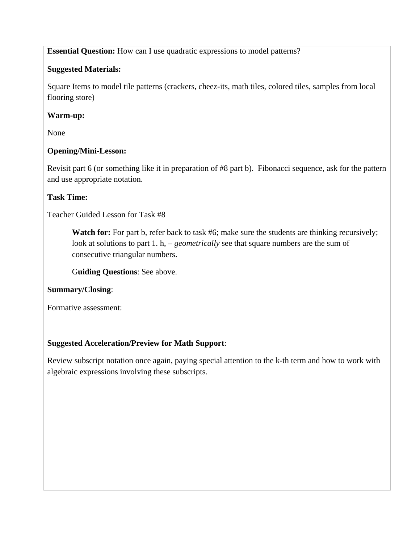**Essential Question:** How can I use quadratic expressions to model patterns?

# **Suggested Materials:**

Square Items to model tile patterns (crackers, cheez-its, math tiles, colored tiles, samples from local flooring store)

# **Warm-up:**

None

# **Opening/Mini-Lesson:**

Revisit part 6 (or something like it in preparation of #8 part b). Fibonacci sequence, ask for the pattern and use appropriate notation.

# **Task Time:**

Teacher Guided Lesson for Task #8

**Watch for:** For part b, refer back to task #6; make sure the students are thinking recursively; look at solutions to part 1. h, – *geometrically* see that square numbers are the sum of consecutive triangular numbers.

G**uiding Questions**: See above.

## **Summary/Closing**:

Formative assessment:

# **Suggested Acceleration/Preview for Math Support**:

Review subscript notation once again, paying special attention to the k-th term and how to work with algebraic expressions involving these subscripts.